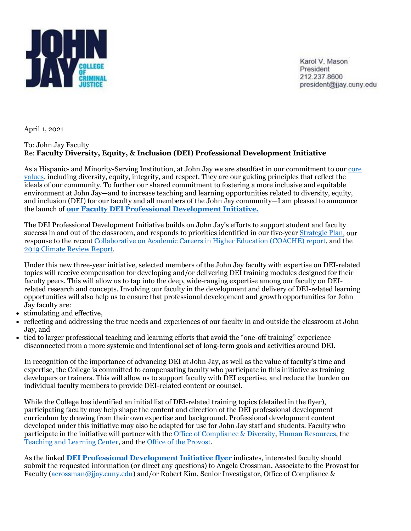

Karol V. Mason President 212 237 8600 president@jjay.cuny.edu

April 1, 2021

## To: John Jay Faculty Re: **Faculty Diversity, Equity, & Inclusion (DEI) Professional Development Initiative**

As a Hispanic- and Minority-Serving Institution, at John Jay we are steadfast in our commitment to our [core](http://r20.rs6.net/tn.jsp?f=001nNNjmAGVXuyoMSczdoEVD9ONZ2l_1y9LaZxwrF4-aKUcZnQmaCvN3x5KotWnPNEJ6ZbQTbTKtahHf7HhR6_96UPQG_emeRCaleqekutH8XGrhzvZwgJP3-iLWHyUhQjybSozpcl9tnKcoEADIQvtn7-g5FKUU11ZuLg33wWMEm0=&c=olt_nHUVfFNz-5wf7bBnN6armn8TURioxYqnnrS2wzYaWzAkhbTTWw==&ch=o4i85t2WZwVBFOSvdRVU6sM86VvTaiM1Xhl0Orqc93OvUxnSUS4pIw==)  [values,](http://r20.rs6.net/tn.jsp?f=001nNNjmAGVXuyoMSczdoEVD9ONZ2l_1y9LaZxwrF4-aKUcZnQmaCvN3x5KotWnPNEJ6ZbQTbTKtahHf7HhR6_96UPQG_emeRCaleqekutH8XGrhzvZwgJP3-iLWHyUhQjybSozpcl9tnKcoEADIQvtn7-g5FKUU11ZuLg33wWMEm0=&c=olt_nHUVfFNz-5wf7bBnN6armn8TURioxYqnnrS2wzYaWzAkhbTTWw==&ch=o4i85t2WZwVBFOSvdRVU6sM86VvTaiM1Xhl0Orqc93OvUxnSUS4pIw==) including diversity, equity, integrity, and respect. They are our guiding principles that reflect the ideals of our community. To further our shared commitment to fostering a more inclusive and equitable environment at John Jay—and to increase teaching and learning opportunities related to diversity, equity, and inclusion (DEI) for our faculty and all members of the John Jay community—I am pleased to announce the launch of **[our Faculty DEI Professional Development Initiative.](http://r20.rs6.net/tn.jsp?f=001nNNjmAGVXuyoMSczdoEVD9ONZ2l_1y9LaZxwrF4-aKUcZnQmaCvN3zVP5oktp-vdmyM5V9O5sT16jcXVtY-SgHr0jqw7IvweON3eevRAvw0JQG_URmRLOjfGfZ5iEl2vJob3pSAIIrA81ZLgp4KvGEly227zGcr0J8Ce1uzrnDBO6ypf1PaqKkqSbfXXG2yJO_8FvGTHITKbfASv49hfHIcz47N2IaVxPXU5amLb8wykP-PXiVNg22Hwbtz-NjbU&c=olt_nHUVfFNz-5wf7bBnN6armn8TURioxYqnnrS2wzYaWzAkhbTTWw==&ch=o4i85t2WZwVBFOSvdRVU6sM86VvTaiM1Xhl0Orqc93OvUxnSUS4pIw==)**

The DEI Professional Development Initiative builds on John Jay's efforts to support student and faculty success in and out of the classroom, and responds to priorities identified in our five-yea[r Strategic Plan,](http://r20.rs6.net/tn.jsp?f=001nNNjmAGVXuyoMSczdoEVD9ONZ2l_1y9LaZxwrF4-aKUcZnQmaCvN3998qpeNmWqOxAqOVqI0UVdL0UmQTgmfdFSUd25nzcY_I2i2tbysPRRNXFaCPV3qSrXsO2ASIqp_3jOCrrUttPOMcXBWln9bt-4hBnLX2kSnSrDTbWo_yLM=&c=olt_nHUVfFNz-5wf7bBnN6armn8TURioxYqnnrS2wzYaWzAkhbTTWw==&ch=o4i85t2WZwVBFOSvdRVU6sM86VvTaiM1Xhl0Orqc93OvUxnSUS4pIw==) our response to the recen[t Collaborative on Academic Careers in Higher Education \(COACHE\) report,](http://r20.rs6.net/tn.jsp?f=001nNNjmAGVXuyoMSczdoEVD9ONZ2l_1y9LaZxwrF4-aKUcZnQmaCvN3x82brynJmmaW45Pi4MMAus6pIyowcj710EvKs9kvG8CvFuWgR5Qsc9vsXxdF7sLSZvNIvf9AscSnYgg-kTenjU90vqpqA-RzLiUI4-5dHcJc5LLW-EjbS94AYPF7GHDmLBWmAFyIx6NDwPl19SIQcza8LO1XVvvrhZfd7WJw6hQ3H0Jjl-gPYzj3jWNsS6YEw==&c=olt_nHUVfFNz-5wf7bBnN6armn8TURioxYqnnrS2wzYaWzAkhbTTWw==&ch=o4i85t2WZwVBFOSvdRVU6sM86VvTaiM1Xhl0Orqc93OvUxnSUS4pIw==) and the [2019 Climate Review Report.](http://r20.rs6.net/tn.jsp?f=001nNNjmAGVXuyoMSczdoEVD9ONZ2l_1y9LaZxwrF4-aKUcZnQmaCvN3_HoDJSCas42DvjqqakZWV6YPqy5x156PCQC-BtIRKEUtIwLYIbh0mThELg7aaWEKkBWLFHW7q9B4SWJSHm0ETG3zyAq95sfsD-1gBbxRSVpVCz6tyAx4CA=&c=olt_nHUVfFNz-5wf7bBnN6armn8TURioxYqnnrS2wzYaWzAkhbTTWw==&ch=o4i85t2WZwVBFOSvdRVU6sM86VvTaiM1Xhl0Orqc93OvUxnSUS4pIw==)

Under this new three-year initiative, selected members of the John Jay faculty with expertise on DEI-related topics will receive compensation for developing and/or delivering DEI training modules designed for their faculty peers. This will allow us to tap into the deep, wide-ranging expertise among our faculty on DEIrelated research and concepts. Involving our faculty in the development and delivery of DEI-related learning opportunities will also help us to ensure that professional development and growth opportunities for John Jay faculty are:

- stimulating and effective,
- reflecting and addressing the true needs and experiences of our faculty in and outside the classroom at John Jay, and
- tied to larger professional teaching and learning efforts that avoid the "one-off training" experience disconnected from a more systemic and intentional set of long-term goals and activities around DEI.

In recognition of the importance of advancing DEI at John Jay, as well as the value of faculty's time and expertise, the College is committed to compensating faculty who participate in this initiative as training developers or trainers. This will allow us to support faculty with DEI expertise, and reduce the burden on individual faculty members to provide DEI-related content or counsel.

While the College has identified an initial list of DEI-related training topics (detailed in the flyer), participating faculty may help shape the content and direction of the DEI professional development curriculum by drawing from their own expertise and background. Professional development content developed under this initiative may also be adapted for use for John Jay staff and students. Faculty who participate in the initiative will partner with the [Office of Compliance & Diversity,](http://r20.rs6.net/tn.jsp?f=001nNNjmAGVXuyoMSczdoEVD9ONZ2l_1y9LaZxwrF4-aKUcZnQmaCvN3zVP5oktp-vdqxXMdaBp9QEjFBmEXZrjYLSLl_St5iCA0nrBRrGWW6n4_llcadxq8rGqZbdrSyFPUJCNr0OUzQ5Cw1M4Mwj2N-Ye6w3Mjn5lOVLX9mWDibj5e2eFLb5CZJmO4x3ekrXBBRjJ37jUsbt7OPfM7B0pyBxgx9uBreHnHbB1NGNWyJgT81hyWHGU_w==&c=olt_nHUVfFNz-5wf7bBnN6armn8TURioxYqnnrS2wzYaWzAkhbTTWw==&ch=o4i85t2WZwVBFOSvdRVU6sM86VvTaiM1Xhl0Orqc93OvUxnSUS4pIw==) [Human Resources,](http://r20.rs6.net/tn.jsp?f=001nNNjmAGVXuyoMSczdoEVD9ONZ2l_1y9LaZxwrF4-aKUcZnQmaCvN3zVP5oktp-vd_r0xdHoUkC1XX1t70f4UMvYrASjV0JHbgbzEymDbOHCeqiWgykxicnLP4c3_ufilMq7V3zcJbWL_mPkJhioziWFYfqpoZhtFJk-6j7rIQBk=&c=olt_nHUVfFNz-5wf7bBnN6armn8TURioxYqnnrS2wzYaWzAkhbTTWw==&ch=o4i85t2WZwVBFOSvdRVU6sM86VvTaiM1Xhl0Orqc93OvUxnSUS4pIw==) the [Teaching and Learning Center,](http://r20.rs6.net/tn.jsp?f=001nNNjmAGVXuyoMSczdoEVD9ONZ2l_1y9LaZxwrF4-aKUcZnQmaCvN3zVP5oktp-vd3UmniDdITgKnnzuvuT_v-sQBSsXaMVIyxn3Zh8fKMv-s3lkenLuQnHjjCiNnn7tgI6wUBds4KRXPsJwJMAL4pBnLmFVCHgUutfAKHXnmHL9Fb_j5sggTSrkyh7Y06aL2&c=olt_nHUVfFNz-5wf7bBnN6armn8TURioxYqnnrS2wzYaWzAkhbTTWw==&ch=o4i85t2WZwVBFOSvdRVU6sM86VvTaiM1Xhl0Orqc93OvUxnSUS4pIw==) and the [Office of the Provost.](http://r20.rs6.net/tn.jsp?f=001nNNjmAGVXuyoMSczdoEVD9ONZ2l_1y9LaZxwrF4-aKUcZnQmaCvN3zVP5oktp-vd3p_L0qqegFyiLFmL5-Uz7S4i83fqe6yLUNgno3fhg6WH5WLvlN-bKXL_MHgkhQtwTXlb1JPBuqt8JYhMNwYNHvop3A0F51hdXVu-5GV_Afs=&c=olt_nHUVfFNz-5wf7bBnN6armn8TURioxYqnnrS2wzYaWzAkhbTTWw==&ch=o4i85t2WZwVBFOSvdRVU6sM86VvTaiM1Xhl0Orqc93OvUxnSUS4pIw==)

As the linked **[DEI Professional Development Initiative flyer](http://r20.rs6.net/tn.jsp?f=001nNNjmAGVXuyoMSczdoEVD9ONZ2l_1y9LaZxwrF4-aKUcZnQmaCvN3zVP5oktp-vdmyM5V9O5sT16jcXVtY-SgHr0jqw7IvweON3eevRAvw0JQG_URmRLOjfGfZ5iEl2vJob3pSAIIrA81ZLgp4KvGEly227zGcr0J8Ce1uzrnDBO6ypf1PaqKkqSbfXXG2yJO_8FvGTHITKbfASv49hfHIcz47N2IaVxPXU5amLb8wykP-PXiVNg22Hwbtz-NjbU&c=olt_nHUVfFNz-5wf7bBnN6armn8TURioxYqnnrS2wzYaWzAkhbTTWw==&ch=o4i85t2WZwVBFOSvdRVU6sM86VvTaiM1Xhl0Orqc93OvUxnSUS4pIw==)** indicates, interested faculty should submit the requested information (or direct any questions) to Angela Crossman, Associate to the Provost for Faculty [\(acrossman@jjay.cuny.edu\)](mailto:acrossman@jjay.cuny.edu) and/or Robert Kim, Senior Investigator, Office of Compliance &